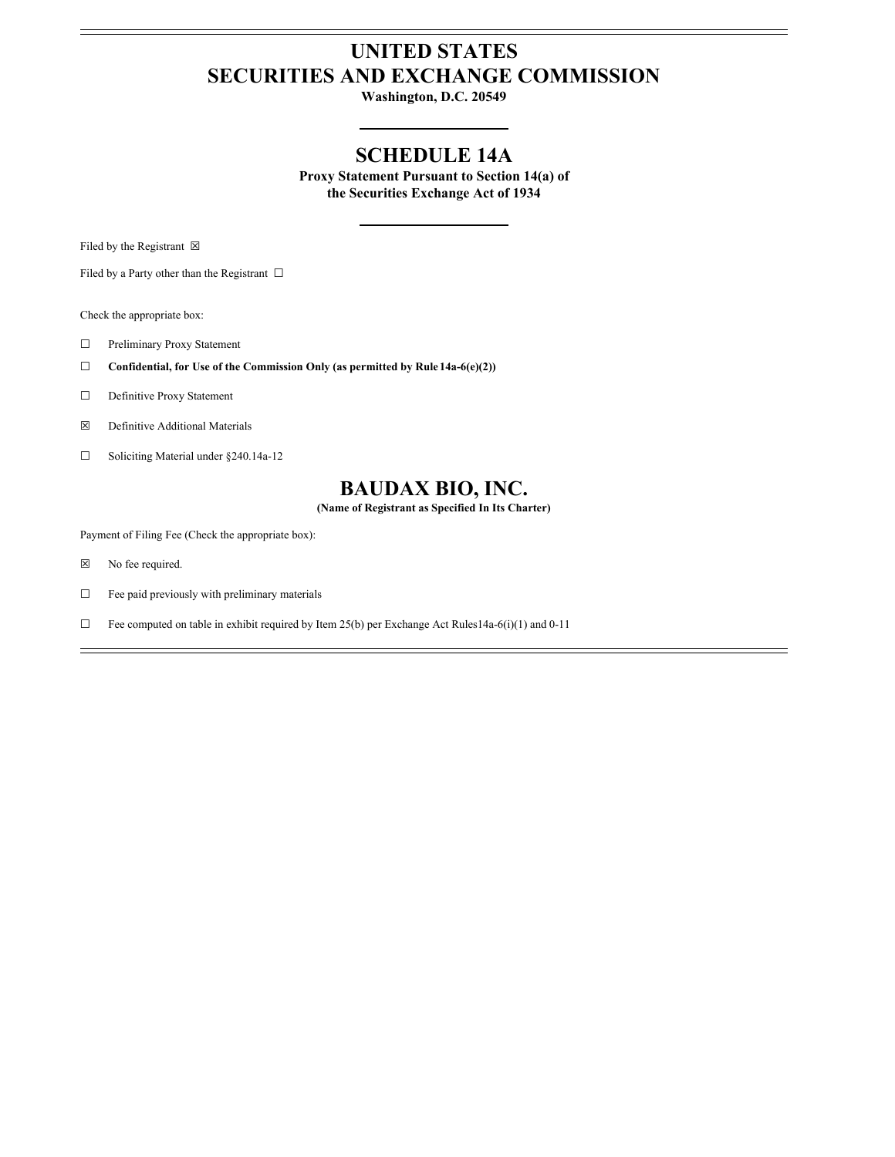## **UNITED STATES SECURITIES AND EXCHANGE COMMISSION**

**Washington, D.C. 20549**

### **SCHEDULE 14A**

**Proxy Statement Pursuant to Section 14(a) of the Securities Exchange Act of 1934**

Filed by the Registrant  $\boxtimes$ 

Filed by a Party other than the Registrant  $\ \Box$ 

Check the appropriate box:

- ☐ Preliminary Proxy Statement
- ☐ **Confidential, for Use of the Commission Only (as permitted by Rule 14a-6(e)(2))**
- □ Definitive Proxy Statement
- ☒ Definitive Additional Materials
- ☐ Soliciting Material under §240.14a-12

## **BAUDAX BIO, INC.**

**(Name of Registrant as Specified In Its Charter)**

Payment of Filing Fee (Check the appropriate box):

- ☒ No fee required.
- $\Box$  Fee paid previously with preliminary materials
- $\Box$  Fee computed on table in exhibit required by Item 25(b) per Exchange Act Rules14a-6(i)(1) and 0-11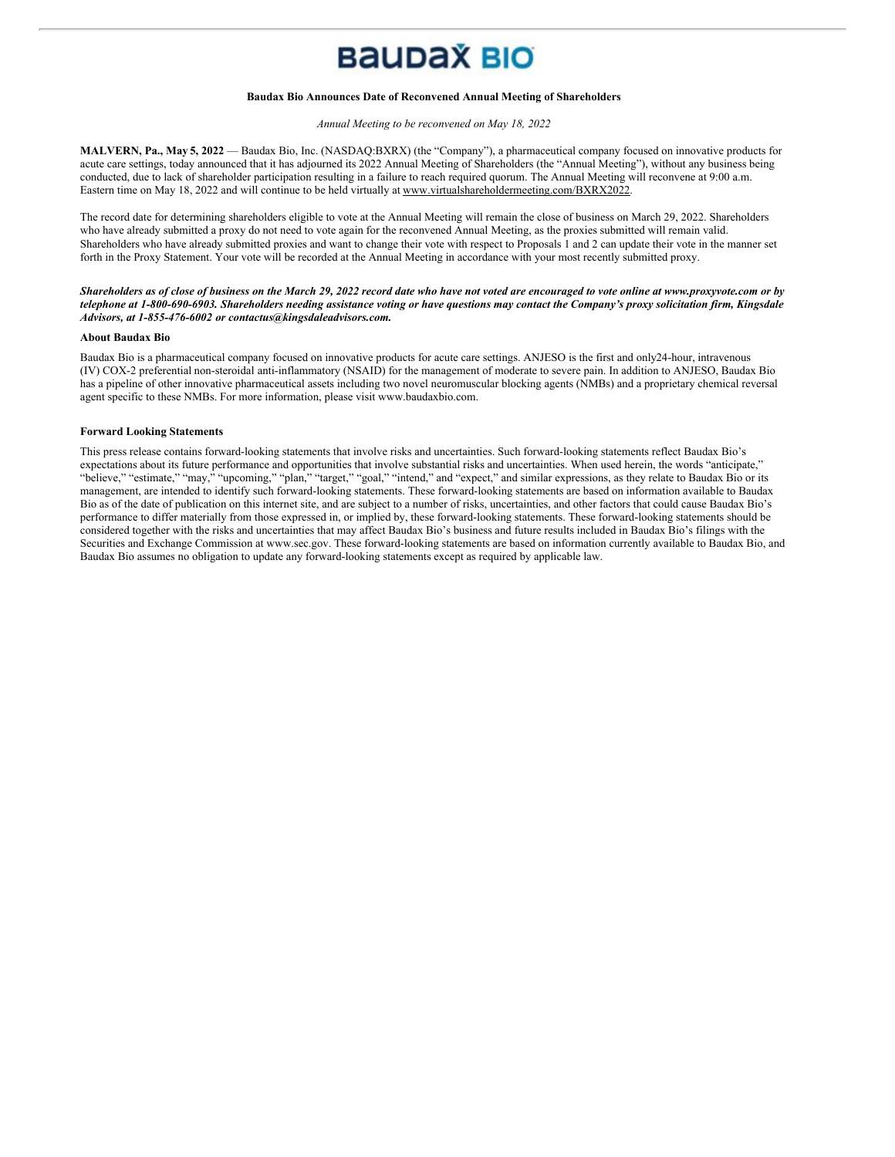# **BAUDAX BIO**

#### **Baudax Bio Announces Date of Reconvened Annual Meeting of Shareholders**

*Annual Meeting to be reconvened on May 18, 2022*

**MALVERN, Pa., May 5, 2022** — Baudax Bio, Inc. (NASDAQ:BXRX) (the "Company"), a pharmaceutical company focused on innovative products for acute care settings, today announced that it has adjourned its 2022 Annual Meeting of Shareholders (the "Annual Meeting"), without any business being conducted, due to lack of shareholder participation resulting in a failure to reach required quorum. The Annual Meeting will reconvene at 9:00 a.m. Eastern time on May 18, 2022 and will continue to be held virtually at www.virtualshareholdermeeting.com/BXRX2022.

The record date for determining shareholders eligible to vote at the Annual Meeting will remain the close of business on March 29, 2022. Shareholders who have already submitted a proxy do not need to vote again for the reconvened Annual Meeting, as the proxies submitted will remain valid. Shareholders who have already submitted proxies and want to change their vote with respect to Proposals 1 and 2 can update their vote in the manner set forth in the Proxy Statement. Your vote will be recorded at the Annual Meeting in accordance with your most recently submitted proxy.

Shareholders as of close of business on the March 29, 2022 record date who have not voted are encouraged to vote online at www.proxyvote.com or by telephone at 1-800-690-6903. Shareholders needing assistance voting or have questions may contact the Company's proxy solicitation firm, Kingsdale *Advisors, at 1-855-476-6002 or contactus@kingsdaleadvisors.com.*

#### **About Baudax Bio**

Baudax Bio is a pharmaceutical company focused on innovative products for acute care settings. ANJESO is the first and only24-hour, intravenous (IV) COX-2 preferential non-steroidal anti-inflammatory (NSAID) for the management of moderate to severe pain. In addition to ANJESO, Baudax Bio has a pipeline of other innovative pharmaceutical assets including two novel neuromuscular blocking agents (NMBs) and a proprietary chemical reversal agent specific to these NMBs. For more information, please visit www.baudaxbio.com.

#### **Forward Looking Statements**

This press release contains forward-looking statements that involve risks and uncertainties. Such forward-looking statements reflect Baudax Bio's expectations about its future performance and opportunities that involve substantial risks and uncertainties. When used herein, the words "anticipate," "believe," "estimate," "may," "upcoming," "plan," "target," "goal," "intend," and "expect," and similar expressions, as they relate to Baudax Bio or its management, are intended to identify such forward-looking statements. These forward-looking statements are based on information available to Baudax Bio as of the date of publication on this internet site, and are subject to a number of risks, uncertainties, and other factors that could cause Baudax Bio's performance to differ materially from those expressed in, or implied by, these forward-looking statements. These forward-looking statements should be considered together with the risks and uncertainties that may affect Baudax Bio's business and future results included in Baudax Bio's filings with the Securities and Exchange Commission at www.sec.gov. These forward-looking statements are based on information currently available to Baudax Bio, and Baudax Bio assumes no obligation to update any forward-looking statements except as required by applicable law.